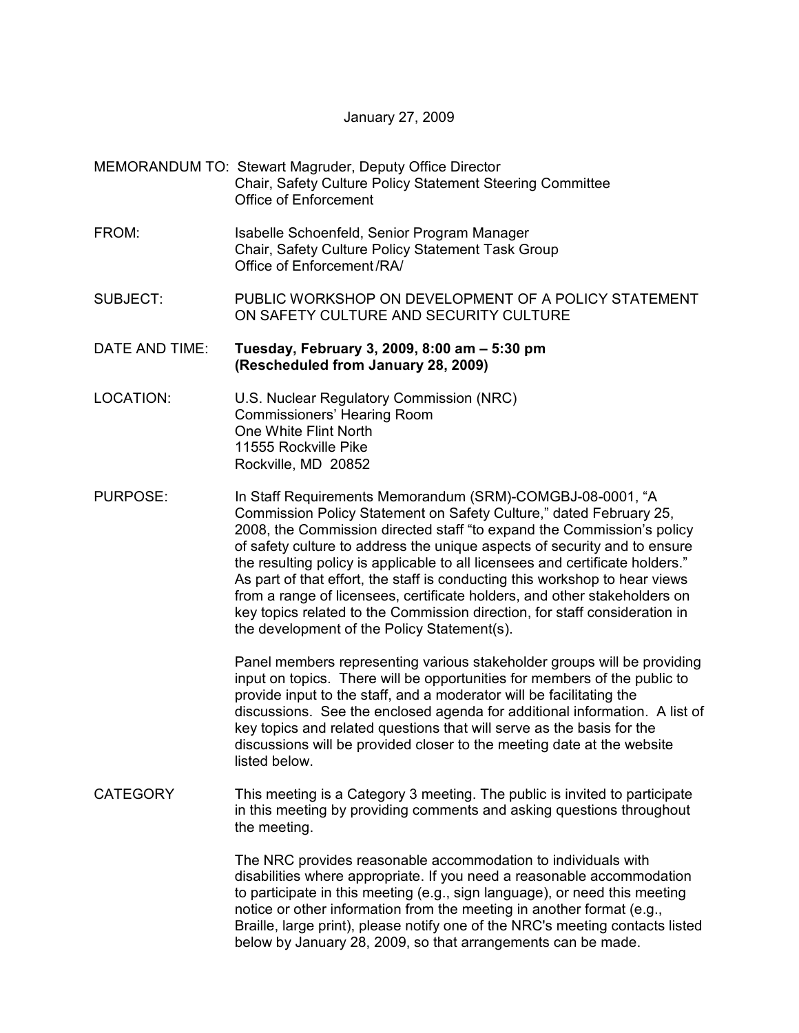#### January 27, 2009

### MEMORANDUM TO: Stewart Magruder, Deputy Office Director Chair, Safety Culture Policy Statement Steering Committee Office of Enforcement

- FROM: Isabelle Schoenfeld, Senior Program Manager Chair, Safety Culture Policy Statement Task Group Office of Enforcement /RA/
- SUBJECT: PUBLIC WORKSHOP ON DEVELOPMENT OF A POLICY STATEMENT ON SAFETY CULTURE AND SECURITY CULTURE

DATE AND TIME: **Tuesday, February 3, 2009, 8:00 am – 5:30 pm (Rescheduled from January 28, 2009)** 

- LOCATION: U.S. Nuclear Regulatory Commission (NRC) Commissioners' Hearing Room One White Flint North 11555 Rockville Pike Rockville, MD 20852
- PURPOSE: In Staff Requirements Memorandum (SRM)-COMGBJ-08-0001, "A Commission Policy Statement on Safety Culture," dated February 25, 2008, the Commission directed staff "to expand the Commission's policy of safety culture to address the unique aspects of security and to ensure the resulting policy is applicable to all licensees and certificate holders." As part of that effort, the staff is conducting this workshop to hear views from a range of licensees, certificate holders, and other stakeholders on key topics related to the Commission direction, for staff consideration in the development of the Policy Statement(s).

Panel members representing various stakeholder groups will be providing input on topics. There will be opportunities for members of the public to provide input to the staff, and a moderator will be facilitating the discussions. See the enclosed agenda for additional information. A list of key topics and related questions that will serve as the basis for the discussions will be provided closer to the meeting date at the website listed below.

CATEGORY This meeting is a Category 3 meeting. The public is invited to participate in this meeting by providing comments and asking questions throughout the meeting.

> The NRC provides reasonable accommodation to individuals with disabilities where appropriate. If you need a reasonable accommodation to participate in this meeting (e.g., sign language), or need this meeting notice or other information from the meeting in another format (e.g., Braille, large print), please notify one of the NRC's meeting contacts listed below by January 28, 2009, so that arrangements can be made.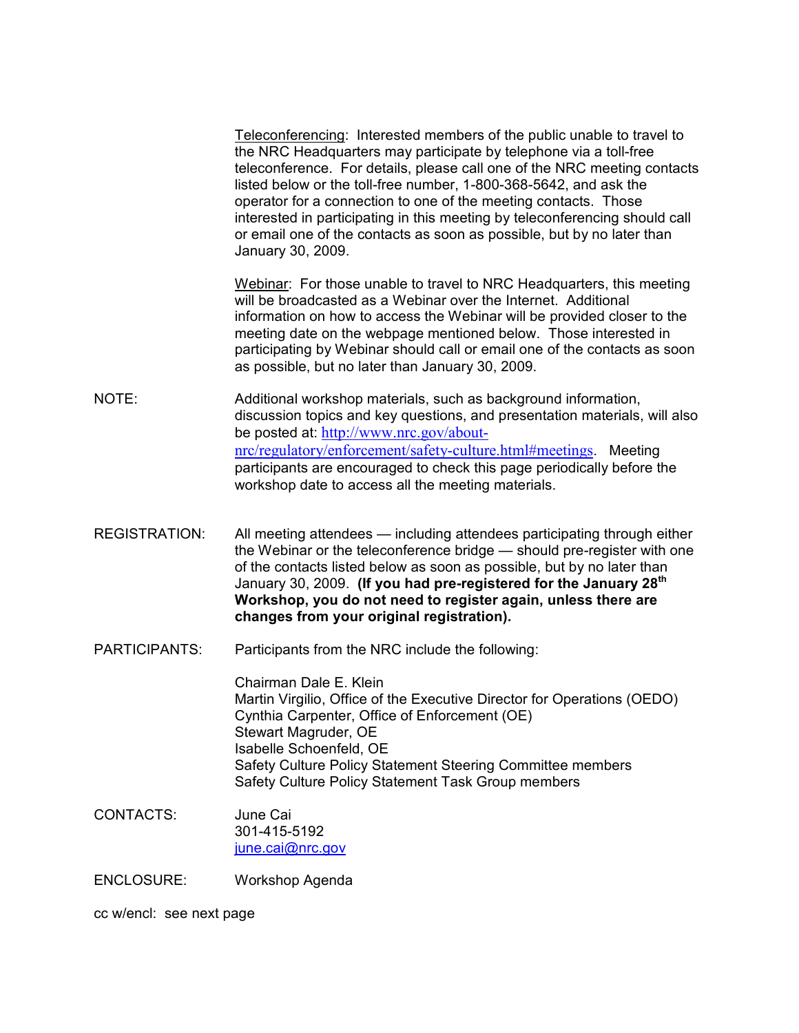Teleconferencing: Interested members of the public unable to travel to the NRC Headquarters may participate by telephone via a toll-free teleconference. For details, please call one of the NRC meeting contacts listed below or the toll-free number, 1-800-368-5642, and ask the operator for a connection to one of the meeting contacts. Those interested in participating in this meeting by teleconferencing should call or email one of the contacts as soon as possible, but by no later than January 30, 2009.

Webinar: For those unable to travel to NRC Headquarters, this meeting will be broadcasted as a Webinar over the Internet. Additional information on how to access the Webinar will be provided closer to the meeting date on the webpage mentioned below. Those interested in participating by Webinar should call or email one of the contacts as soon as possible, but no later than January 30, 2009.

- NOTE: Additional workshop materials, such as background information, discussion topics and key questions, and presentation materials, will also be posted at: http://www.nrc.gov/aboutnrc/regulatory/enforcement/safety-culture.html#meetings. Meeting participants are encouraged to check this page periodically before the workshop date to access all the meeting materials.
- REGISTRATION: All meeting attendees including attendees participating through either the Webinar or the teleconference bridge — should pre-register with one of the contacts listed below as soon as possible, but by no later than January 30, 2009. **(If you had pre-registered for the January 28th Workshop, you do not need to register again, unless there are changes from your original registration).**
- PARTICIPANTS: Participants from the NRC include the following:

 Chairman Dale E. Klein Martin Virgilio, Office of the Executive Director for Operations (OEDO) Cynthia Carpenter, Office of Enforcement (OE) Stewart Magruder, OE Isabelle Schoenfeld, OE Safety Culture Policy Statement Steering Committee members Safety Culture Policy Statement Task Group members

CONTACTS: June Cai 301-415-5192 june.cai@nrc.gov

ENCLOSURE: Workshop Agenda

cc w/encl: see next page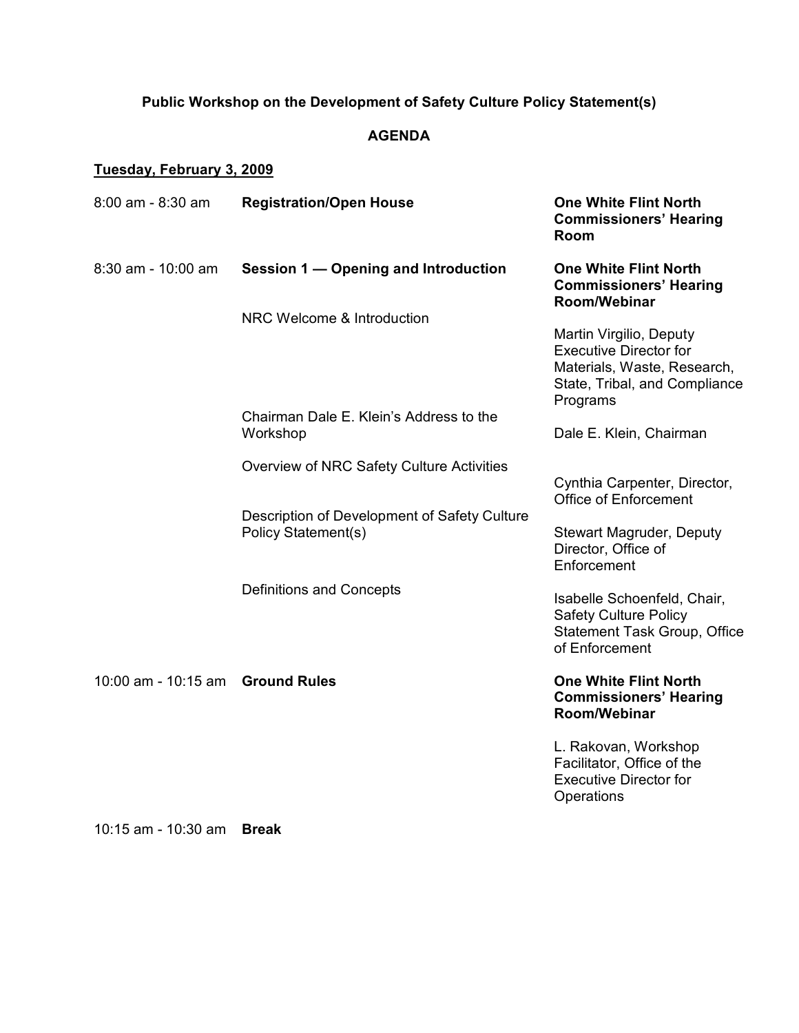## **Public Workshop on the Development of Safety Culture Policy Statement(s)**

### **AGENDA**

# **Tuesday, February 3, 2009**

| 8:00 am - 8:30 am                | <b>Registration/Open House</b>                                      | <b>One White Flint North</b><br><b>Commissioners' Hearing</b><br>Room                                         |
|----------------------------------|---------------------------------------------------------------------|---------------------------------------------------------------------------------------------------------------|
| $8:30$ am - 10:00 am             | Session 1 - Opening and Introduction                                | <b>One White Flint North</b><br><b>Commissioners' Hearing</b><br>Room/Webinar                                 |
|                                  | NRC Welcome & Introduction                                          | Martin Virgilio, Deputy                                                                                       |
|                                  |                                                                     | <b>Executive Director for</b><br>Materials, Waste, Research,<br>State, Tribal, and Compliance<br>Programs     |
|                                  | Chairman Dale E. Klein's Address to the<br>Workshop                 | Dale E. Klein, Chairman                                                                                       |
|                                  | Overview of NRC Safety Culture Activities                           |                                                                                                               |
|                                  |                                                                     | Cynthia Carpenter, Director,<br><b>Office of Enforcement</b>                                                  |
|                                  | Description of Development of Safety Culture<br>Policy Statement(s) | Stewart Magruder, Deputy<br>Director, Office of<br>Enforcement                                                |
|                                  | Definitions and Concepts                                            | Isabelle Schoenfeld, Chair,<br><b>Safety Culture Policy</b><br>Statement Task Group, Office<br>of Enforcement |
| 10:00 am - 10:15 am Ground Rules |                                                                     | <b>One White Flint North</b><br><b>Commissioners' Hearing</b><br>Room/Webinar                                 |
|                                  |                                                                     | L. Rakovan, Workshop<br>Facilitator, Office of the<br><b>Executive Director for</b><br>Operations             |

10:15 am - 10:30 am **Break**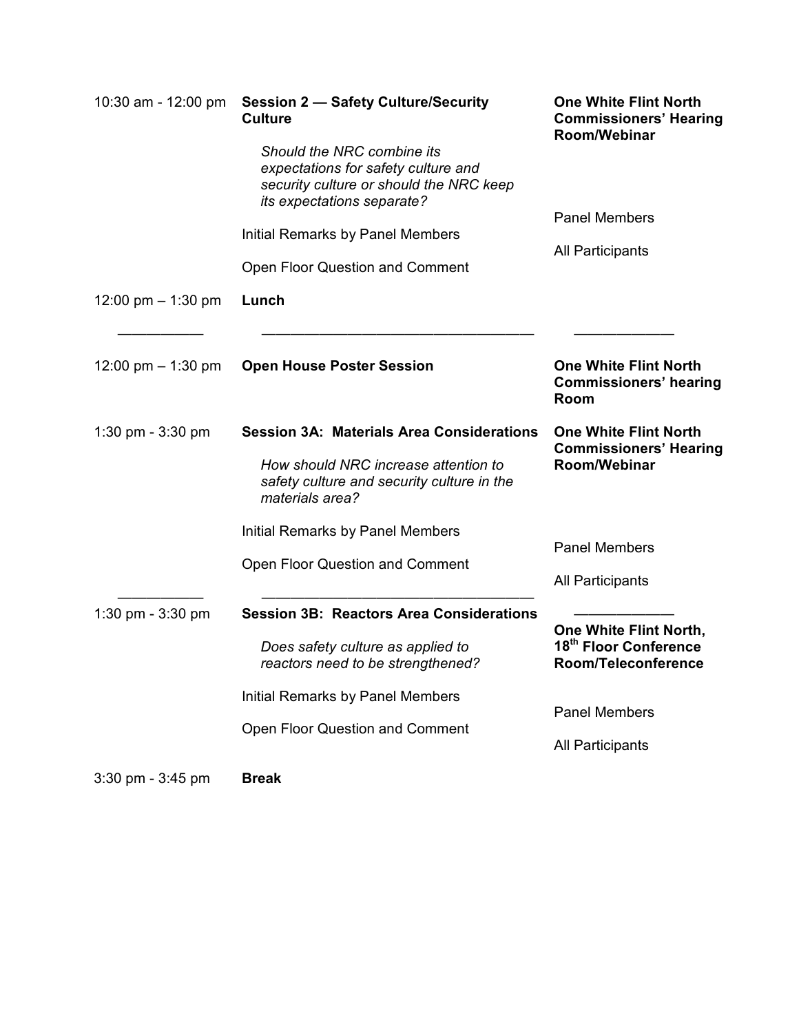| 10:30 am - 12:00 pm  | <b>Session 2 - Safety Culture/Security</b><br><b>Culture</b>                                                                                              | <b>One White Flint North</b><br><b>Commissioners' Hearing</b><br>Room/Webinar |
|----------------------|-----------------------------------------------------------------------------------------------------------------------------------------------------------|-------------------------------------------------------------------------------|
|                      | Should the NRC combine its<br>expectations for safety culture and<br>security culture or should the NRC keep<br>its expectations separate?                | <b>Panel Members</b>                                                          |
|                      | Initial Remarks by Panel Members                                                                                                                          |                                                                               |
|                      | Open Floor Question and Comment                                                                                                                           | <b>All Participants</b>                                                       |
| 12:00 pm $-$ 1:30 pm | Lunch                                                                                                                                                     |                                                                               |
| 12:00 pm $-$ 1:30 pm | <b>Open House Poster Session</b>                                                                                                                          | <b>One White Flint North</b><br><b>Commissioners' hearing</b><br>Room         |
| 1:30 pm $-$ 3:30 pm  | <b>Session 3A: Materials Area Considerations</b><br>How should NRC increase attention to<br>safety culture and security culture in the<br>materials area? | <b>One White Flint North</b><br><b>Commissioners' Hearing</b><br>Room/Webinar |
|                      | Initial Remarks by Panel Members                                                                                                                          |                                                                               |
|                      | Open Floor Question and Comment                                                                                                                           | <b>Panel Members</b>                                                          |
|                      |                                                                                                                                                           | <b>All Participants</b>                                                       |
| 1:30 pm - 3:30 pm    | <b>Session 3B: Reactors Area Considerations</b>                                                                                                           | One White Flint North,                                                        |
|                      | Does safety culture as applied to<br>reactors need to be strengthened?                                                                                    | 18th Floor Conference<br>Room/Teleconference                                  |
|                      | <b>Initial Remarks by Panel Members</b>                                                                                                                   |                                                                               |
|                      | Open Floor Question and Comment                                                                                                                           | <b>Panel Members</b>                                                          |
|                      |                                                                                                                                                           | <b>All Participants</b>                                                       |
| 3:30 pm - 3:45 pm    | <b>Break</b>                                                                                                                                              |                                                                               |